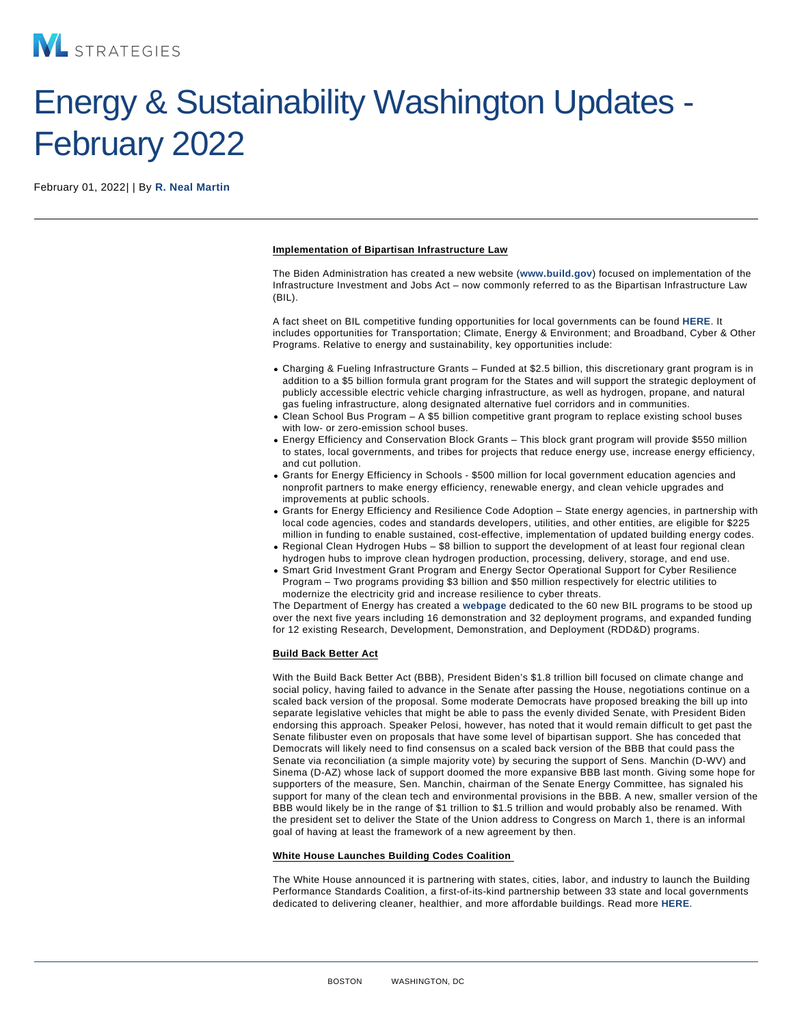# Energy & Sustainability Washington Updates - February 2022

February 01, 2022| | By [R. Neal Martin](/our-people/r-neal-martin)

Implementation of Bipartisan Infrastructure Law

The Biden Administration has created a new website ([www.build.gov](http://www.build.gov) ) focused on implementation of the Infrastructure Investment and Jobs Act – now commonly referred to as the Bipartisan Infrastructure Law (BIL).

A fact sheet on BIL competitive funding opportunities for local governments can be found [HERE.](https://www.whitehouse.gov/wp-content/uploads/2022/01/BIL-Factsheet-Local-Competitive-Funding.pdf) It includes opportunities for Transportation; Climate, Energy & Environment; and Broadband, Cyber & Other Programs. Relative to energy and sustainability, key opportunities include:

- Charging & Fueling Infrastructure Grants Funded at \$2.5 billion, this discretionary grant program is in addition to a \$5 billion formula grant program for the States and will support the strategic deployment of publicly accessible electric vehicle charging infrastructure, as well as hydrogen, propane, and natural gas fueling infrastructure, along designated alternative fuel corridors and in communities.
- Clean School Bus Program A \$5 billion competitive grant program to replace existing school buses with low- or zero-emission school buses.
- Energy Efficiency and Conservation Block Grants This block grant program will provide \$550 million to states, local governments, and tribes for projects that reduce energy use, increase energy efficiency, and cut pollution.
- Grants for Energy Efficiency in Schools \$500 million for local government education agencies and nonprofit partners to make energy efficiency, renewable energy, and clean vehicle upgrades and improvements at public schools.
- Grants for Energy Efficiency and Resilience Code Adoption State energy agencies, in partnership with local code agencies, codes and standards developers, utilities, and other entities, are eligible for \$225 million in funding to enable sustained, cost-effective, implementation of updated building energy codes.
- Regional Clean Hydrogen Hubs \$8 billion to support the development of at least four regional clean hydrogen hubs to improve clean hydrogen production, processing, delivery, storage, and end use.
- Smart Grid Investment Grant Program and Energy Sector Operational Support for Cyber Resilience Program – Two programs providing \$3 billion and \$50 million respectively for electric utilities to modernize the electricity grid and increase resilience to cyber threats.

The Department of Energy has created a [webpage](https://www.energy.gov/bipartisan-infrastructure-law-programs) dedicated to the 60 new BIL programs to be stood up over the next five years including 16 demonstration and 32 deployment programs, and expanded funding for 12 existing Research, Development, Demonstration, and Deployment (RDD&D) programs.

## Build Back Better Act

With the Build Back Better Act (BBB), President Biden's \$1.8 trillion bill focused on climate change and social policy, having failed to advance in the Senate after passing the House, negotiations continue on a scaled back version of the proposal. Some moderate Democrats have proposed breaking the bill up into separate legislative vehicles that might be able to pass the evenly divided Senate, with President Biden endorsing this approach. Speaker Pelosi, however, has noted that it would remain difficult to get past the Senate filibuster even on proposals that have some level of bipartisan support. She has conceded that Democrats will likely need to find consensus on a scaled back version of the BBB that could pass the Senate via reconciliation (a simple majority vote) by securing the support of Sens. Manchin (D-WV) and Sinema (D-AZ) whose lack of support doomed the more expansive BBB last month. Giving some hope for supporters of the measure, Sen. Manchin, chairman of the Senate Energy Committee, has signaled his support for many of the clean tech and environmental provisions in the BBB. A new, smaller version of the BBB would likely be in the range of \$1 trillion to \$1.5 trillion and would probably also be renamed. With the president set to deliver the State of the Union address to Congress on March 1, there is an informal goal of having at least the framework of a new agreement by then.

#### White House Launches Building Codes Coalition

The White House announced it is partnering with states, cities, labor, and industry to launch the Building Performance Standards Coalition, a first-of-its-kind partnership between 33 state and local governments dedicated to delivering cleaner, healthier, and more affordable buildings. Read more [HERE.](https://www.whitehouse.gov/briefing-room/statements-releases/2022/01/21/fact-sheet-biden-harris-administration-launches-coalition-of-states-and-local-governments-to-strengthen-building-performance-standards/)